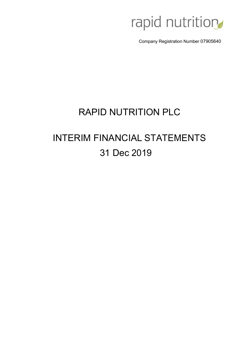

Company Registration Number 07905640

## RAPID NUTRITION PLC

# INTERIM FINANCIAL STATEMENTS 31 Dec 2019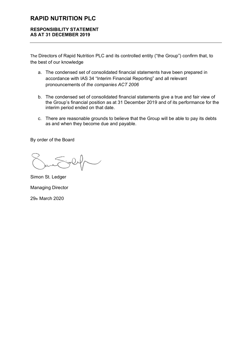#### **RESPONSIBILITY STATEMENT AS AT 31 DECEMBER 2019**

The Directors of Rapid Nutrition PLC and its controlled entity ("the Group") confirm that, to the best of our knowledge

- a. The condensed set of consolidated financial statements have been prepared in accordance with IAS 34 "Interim Financial Reporting" and all relevant pronouncements of *the companies ACT 2006*
- b. The condensed set of consolidated financial statements give a true and fair view of the Group's financial position as at 31 December 2019 and of its performance for the interim period ended on that date.
- c. There are reasonable grounds to believe that the Group will be able to pay its debts as and when they become due and payable.

By order of the Board

Simon St. Ledger Managing Director 29th March 2020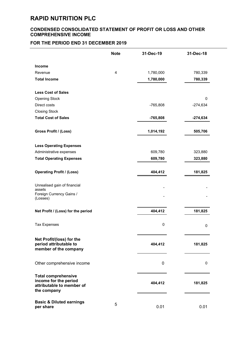#### **CONDENSED CONSOLIDATED STATEMENT OF PROFIT OR LOSS AND OTHER COMPREHENSIVE INCOME**

#### **FOR THE PERIOD END 31 DECEMBER 2019**

|                                                                                                 | <b>Note</b> | 31-Dec-19   | 31-Dec-18  |
|-------------------------------------------------------------------------------------------------|-------------|-------------|------------|
| Income                                                                                          |             |             |            |
| Revenue                                                                                         | 4           | 1,780,000   | 780,339    |
| <b>Total Income</b>                                                                             |             | 1,780,000   | 780,339    |
| <b>Less Cost of Sales</b>                                                                       |             |             |            |
| <b>Opening Stock</b>                                                                            |             |             | 0          |
| Direct costs                                                                                    |             | $-765,808$  | $-274,634$ |
| <b>Closing Stock</b>                                                                            |             |             |            |
| <b>Total Cost of Sales</b>                                                                      |             | $-765,808$  | $-274,634$ |
| Gross Profit / (Loss)                                                                           |             | 1,014,192   | 505,706    |
| <b>Less Operating Expenses</b>                                                                  |             |             |            |
| Administrative expenses                                                                         |             | 609,780     | 323,880    |
| <b>Total Operating Expenses</b>                                                                 |             | 609,780     | 323,880    |
| <b>Operating Profit / (Loss)</b>                                                                |             | 404,412     | 181,825    |
| Unrealised gain of financial<br>assets                                                          |             |             |            |
| Foreign Currency Gains /<br>(Losses)                                                            |             |             |            |
| Net Profit / (Loss) for the period                                                              |             | 404,412     | 181,825    |
| <b>Tax Expenses</b>                                                                             |             | $\mathbf 0$ | 0          |
| Net Profit/(loss) for the<br>period attributable to<br>member of the company                    |             | 404,412     | 181,825    |
| Other comprehensive income                                                                      |             | 0           | 0          |
| <b>Total comprehensive</b><br>income for the period<br>attributable to member of<br>the company |             | 404,412     | 181,825    |
| <b>Basic &amp; Diluted earnings</b><br>per share                                                | 5           | 0.01        | 0.01       |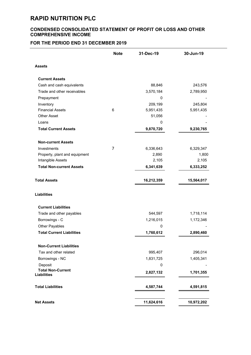#### **CONDENSED CONSOLIDATED STATEMENT OF PROFIT OR LOSS AND OTHER COMPREHENSIVE INCOME**

#### **FOR THE PERIOD END 31 DECEMBER 2019**

|                                                | <b>Note</b> | 31-Dec-19  | 30-Jun-19  |
|------------------------------------------------|-------------|------------|------------|
| <b>Assets</b>                                  |             |            |            |
| <b>Current Assets</b>                          |             |            |            |
| Cash and cash equivalents                      |             | 88,846     | 243,576    |
| Trade and other receivables                    |             | 3,570,184  | 2,789,950  |
| Prepayment                                     |             | 0          |            |
| Inventory                                      |             | 209,199    | 245,804    |
| <b>Financial Assets</b>                        | 6           | 5,951,435  | 5,951,435  |
| <b>Other Asset</b>                             |             | 51,056     |            |
| Loans                                          |             | 0          |            |
| <b>Total Current Assets</b>                    |             | 9,870,720  | 9,230,765  |
| <b>Non-current Assets</b>                      |             |            |            |
| Investments                                    | 7           | 6,336,643  | 6,329,347  |
| Property, plant and equipment                  |             | 2,890      | 1,800      |
| Intangible Assets                              |             | 2,105      | 2,105      |
| <b>Total Non-current Assets</b>                |             | 6,341,639  | 6,333,252  |
| <b>Total Assets</b>                            |             | 16,212,359 | 15,564,017 |
| <b>Liabilities</b>                             |             |            |            |
| <b>Current Liabilities</b>                     |             |            |            |
| Trade and other payables                       |             | 544,597    | 1,718,114  |
| Borrowings - C                                 |             | 1,216,015  | 1,172,346  |
| Other Payables                                 |             | 0          |            |
| <b>Total Current Liabilities</b>               |             | 1,760,612  | 2,890,460  |
| <b>Non-Current Liabilities</b>                 |             |            |            |
| Tax and other related                          |             | 995,407    | 296,014    |
| Borrowings - NC                                |             | 1,831,725  | 1,405,341  |
| Deposit                                        |             | 0          |            |
| <b>Total Non-Current</b><br><b>Liabilities</b> |             | 2,827,132  | 1,701,355  |
| <b>Total Liabilities</b>                       |             | 4,587,744  | 4,591,815  |
|                                                |             |            |            |
| <b>Net Assets</b>                              |             | 11,624,616 | 10,972,202 |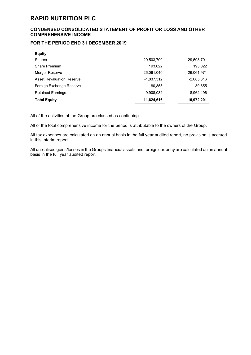#### **CONDENSED CONSOLIDATED STATEMENT OF PROFIT OR LOSS AND OTHER COMPREHENSIVE INCOME**

#### **FOR THE PERIOD END 31 DECEMBER 2019**

| <b>Equity</b>                    |             |               |
|----------------------------------|-------------|---------------|
| <b>Shares</b>                    | 29,503,700  | 29,503,701    |
| Share Premium                    | 193.022     | 193,022       |
| Merger Reserve                   | -26.061.040 | $-26,061,971$ |
| <b>Asset Revaluation Reserve</b> | -1.837.312  | $-2,085,316$  |
| Foreign Exchange Reserve         | $-80,855$   | $-80.855$     |
| <b>Retained Earnings</b>         | 9,908,032   | 8,962,496     |
| <b>Total Equity</b>              | 11,624,616  | 10,972,201    |

All of the activities of the Group are classed as continuing.

All of the total comprehensive income for the period is attributable to the owners of the Group.

All tax expenses are calculated on an annual basis in the full year audited report, no provision is accrued in this interim report.

All unrealised gains/losses in the Groups financial assets and foreign currency are calculated on an annual basis in the full year audited report.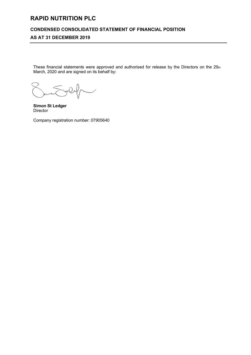#### **CONDENSED CONSOLIDATED STATEMENT OF FINANCIAL POSITION**

#### **AS AT 31 DECEMBER 2019**

These financial statements were approved and authorised for release by the Directors on the 29th March, 2020 and are signed on its behalf by:

**Simon St Ledger** Director

Company registration number: 07905640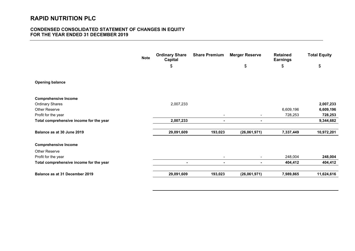#### **CONDENSED CONSOLIDATED STATEMENT OF CHANGES IN EQUITY FOR THE YEAR ENDED 31 DECEMBER 2019**

|                                         | <b>Note</b> | <b>Ordinary Share</b><br><b>Capital</b> | <b>Share Premium</b>     | <b>Merger Reserve</b>    | <b>Retained</b><br><b>Earnings</b> | <b>Total Equity</b> |
|-----------------------------------------|-------------|-----------------------------------------|--------------------------|--------------------------|------------------------------------|---------------------|
|                                         |             | \$                                      |                          | \$                       | \$                                 | \$                  |
|                                         |             |                                         |                          |                          |                                    |                     |
| <b>Opening balance</b>                  |             |                                         |                          |                          |                                    |                     |
| <b>Comprehensive Income</b>             |             |                                         |                          |                          |                                    |                     |
| <b>Ordinary Shares</b>                  |             | 2,007,233                               |                          |                          |                                    | 2,007,233           |
| Other Reserve                           |             |                                         |                          |                          | 6,609,196                          | 6,609,196           |
| Profit for the year                     |             |                                         | $\overline{\phantom{a}}$ |                          | 728,253                            | 728,253             |
| Total comprehensive income for the year |             | 2,007,233                               | ٠                        | $\overline{\phantom{0}}$ |                                    | 9,344,682           |
| Balance as at 30 June 2019              |             | 29,091,609                              | 193,023                  | (26,061,971)             | 7,337,449                          | 10,972,201          |
| <b>Comprehensive Income</b>             |             |                                         |                          |                          |                                    |                     |
| <b>Other Reserve</b>                    |             |                                         |                          |                          |                                    |                     |
| Profit for the year                     |             |                                         | $\overline{\phantom{a}}$ | $\overline{\phantom{0}}$ | 248,004                            | 248,004             |
| Total comprehensive income for the year |             |                                         | $\blacksquare$           | ٠                        | 404,412                            | 404,412             |
| Balance as at 31 December 2019          |             | 29,091,609                              | 193,023                  | (26,061,971)             | 7,989,865                          | 11,624,616          |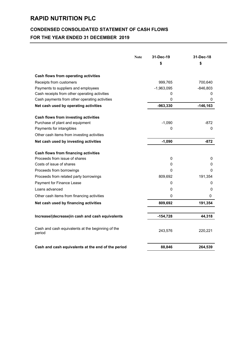## **CONDENSED CONSOLIDATED STATEMENT OF CASH FLOWS**

### **FOR THE YEAR ENDED 31 DECEMBER 2019**

| <b>Note</b>                                                 | 31-Dec-19    | 31-Dec-18   |
|-------------------------------------------------------------|--------------|-------------|
|                                                             | \$           | \$          |
| Cash flows from operating activities                        |              |             |
| Receipts from customers                                     | 999,765      | 700,640     |
| Payments to suppliers and employees                         | $-1,963,095$ | $-846,803$  |
| Cash receipts from other operating activities               | 0            | 0           |
| Cash payments from other operating activities               | 0            | 0           |
| Net cash used by operating activities                       | -963,330     | $-146, 163$ |
| Cash flows from investing activities                        |              |             |
| Purchase of plant and equipment                             | $-1,090$     | $-872$      |
| Payments for intangibles                                    | 0            | 0           |
| Other cash items from investing activities                  |              |             |
| Net cash used by investing activities                       | $-1,090$     | $-872$      |
| Cash flows from financing activities                        |              |             |
| Proceeds from issue of shares                               | 0            | 0           |
| Costs of issue of shares                                    | 0            | 0           |
| Proceeds from borrowings                                    | 0            | 0           |
| Proceeds from related party borrowings                      | 809,692      | 191,354     |
| Payment for Finance Lease                                   | 0            | 0           |
| Loans advanced                                              | 0            | 0           |
| Other cash items from financing activities                  | $\Omega$     | 0           |
| Net cash used by financing activities                       | 809,692      | 191,354     |
| Increase/(decrease)in cash and cash equivalents             | $-154,728$   | 44,318      |
|                                                             |              |             |
| Cash and cash equivalents at the beginning of the<br>period | 243,576      | 220,221     |
| Cash and cash equivalents at the end of the period          | 88,846       | 264,539     |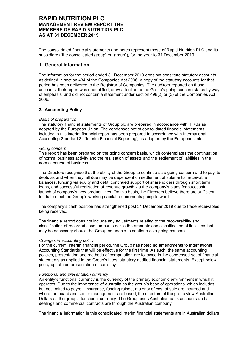The consolidated financial statements and notes represent those of Rapid Nutrition PLC and its subsidiary ("the consolidated group" or "group"), for the year to 31 December 2019.

#### **1. General Information**

The information for the period ended 31 December 2019 does not constitute statutory accounts as defined in section 434 of the Companies Act 2006. A copy of the statutory accounts for that period has been delivered to the Registrar of Companies. The auditors reported on those accounts: their report was unqualified, drew attention to the Group's going concern status by way of emphasis, and did not contain a statement under section 498(2) or (3) of the Companies Act 2006.

#### **2. Accounting Policy**

#### *Basis of preparation*

The statutory financial statements of Group plc are prepared in accordance with IFRSs as adopted by the European Union. The condensed set of consolidated financial statements included in this interim financial report has been prepared in accordance with International Accounting Standard 34 'Interim Financial Reporting', as adopted by the European Union.

#### *Going concern*

This report has been prepared on the going concern basis, which contemplates the continuation of normal business activity and the realisation of assets and the settlement of liabilities in the normal course of business.

The Directors recognise that the ability of the Group to continue as a going concern and to pay its debts as and when they fall due may be dependent on settlement of substantial receivable balances, funding via equity and debt, continued support of shareholders through short term loans, and successful realisation of revenue growth via the company's plans for successful launch of company's new product lines. On this basis, the Directors believe there are sufficient funds to meet the Group's working capital requirements going forward.

The company's cash position has strengthened post 31 December 2019 due to trade receivables being received.

The financial report does not include any adjustments relating to the recoverability and classification of recorded asset amounts nor to the amounts and classification of liabilities that may be necessary should the Group be unable to continue as a going concern.

#### *Changes in accounting policy*

For the current, interim financial period, the Group has noted no amendments to International Accounting Standards that will be effective for the first time. As such, the same accounting policies, presentation and methods of computation are followed in the condensed set of financial statements as applied in the Group's latest statutory audited financial statements. Except below policy update on presentation of currency:

#### *Functional and presentation currency*

An entity's functional currency is the currency of the primary economic environment in which it operates. Due to the importance of Australia as the group's base of operations, which includes but not limited to payroll, insurance, funding raised, majority of cost of sale are incurred and where the board and senior management are based, the directors of the group view Australian Dollars as the group's functional currency. The Group uses Australian bank accounts and all dealings and commercial contracts are through the Australian company.

The financial information in this consolidated interim financial statements are in Australian dollars.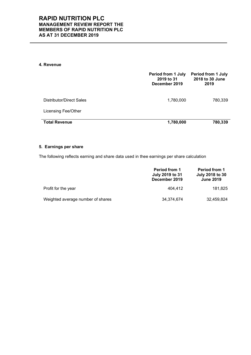#### **4. Revenue**

|                            | <b>Period from 1 July</b><br>2019 to 31<br>December 2019 | <b>Period from 1 July</b><br>2018 to 30 June<br>2019 |
|----------------------------|----------------------------------------------------------|------------------------------------------------------|
| Distributor/Direct Sales   | 1,780,000                                                | 780,339                                              |
| <b>Licensing Fee/Other</b> |                                                          |                                                      |
| <b>Total Revenue</b>       | 1,780,000                                                | 780,339                                              |

#### **5. Earnings per share**

The following reflects earning and share data used in thee earnings per share calculation

|                                   | <b>Period from 1</b><br>July 2019 to 31<br>December 2019 | <b>Period from 1</b><br><b>July 2018 to 30</b><br><b>June 2019</b> |
|-----------------------------------|----------------------------------------------------------|--------------------------------------------------------------------|
| Profit for the year               | 404.412                                                  | 181.825                                                            |
| Weighted average number of shares | 34,374,674                                               | 32,459,824                                                         |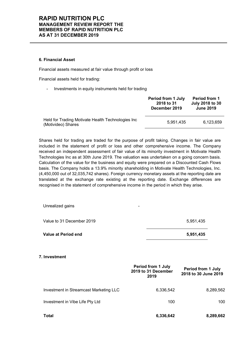#### **6. Financial Asset**

Financial assets measured at fair value through profit or loss

Financial assets held for trading:

Investments in equity instruments held for trading

|                                                                         | <b>Period from 1 July</b><br>2018 to 31<br>December 2019 | <b>Period from 1</b><br><b>July 2018 to 30</b><br><b>June 2019</b> |
|-------------------------------------------------------------------------|----------------------------------------------------------|--------------------------------------------------------------------|
| Held for Trading Motivate Health Technologies Inc<br>(Motivideo) Shares | 5.951.435                                                | 6.123.659                                                          |

Shares held for trading are traded for the purpose of profit taking. Changes in fair value are included in the statement of profit or loss and other comprehensive income. The Company received an independent assessment of fair value of its minority investment in Motivate Health Technologies Inc as at 30th June 2019. The valuation was undertaken on a going concern basis. Calculation of the value for the business and equity were prepared on a Discounted Cash Flows basis. The Company holds a 13.9% minority shareholding in Motivate Health Technologies, Inc. (4,450,000 out of 32,035,742 shares). Foreign currency monetary assets at the reporting date are translated at the exchange rate existing at the reporting date. Exchange differences are recognised in the statement of comprehensive income in the period in which they arise.

| Value at Period end                          | 5,951,435 |
|----------------------------------------------|-----------|
| Value to 31 December 2019                    | 5,951,435 |
| Unrealized gains<br>$\overline{\phantom{0}}$ |           |

**7. Investment**

|                                        | <b>Period from 1 July</b><br>2019 to 31 December<br>2019 | <b>Period from 1 July</b><br>2018 to 30 June 2019 |
|----------------------------------------|----------------------------------------------------------|---------------------------------------------------|
| Investment in Streamcast Marketing LLC | 6,336,542                                                | 8,289,562                                         |
| Investment in Vibe Life Pty Ltd        | 100                                                      | 100                                               |
| <b>Total</b>                           | 6,336,642                                                | 8,289,662                                         |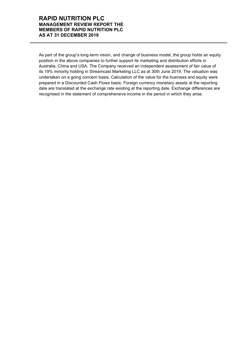As part of the group's long-term vision, and change of business model, the group holds an equity position in the above companies to further support its marketing and distribution efforts in Australia, China and USA. The Company received an independent assessment of fair value of its 19% minority holding in Streamcast Marketing LLC as at 30th June 2019. The valuation was undertaken on a going concern basis. Calculation of the value for the business and equity were prepared in a Discounted Cash Flows basis. Foreign currency monetary assets at the reporting date are translated at the exchange rate existing at the reporting date. Exchange differences are recognised in the statement of comprehensive income in the period in which they arise.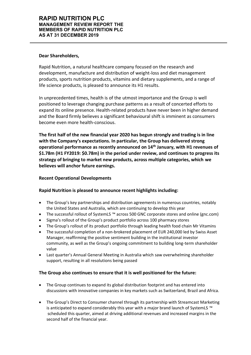#### **Dear Shareholders,**

Rapid Nutrition, a natural healthcare company focused on the research and development, manufacture and distribution of weight-loss and diet management products, sports nutrition products, vitamins and dietary supplements, and a range of life science products, is pleased to announce its H1 results.

In unprecedented times, health is of the utmost importance and the Group is well positioned to leverage changing purchase patterns as a result of concerted efforts to expand its online presence. Health-related products have never been in higher demand and the Board firmly believes a significant behavioural shift is imminent as consumers become even more health-conscious.

**The first half of the new financial year 2020 has begun strongly and trading is in line**  with the Company's expectations. In particular, the Group has delivered strong **operational performance as recently announced on 14th January, with H1 revenues of \$1.78m (H1 FY2019: \$0.78m) in the period under review, and continues to progress its strategy of bringing to market new products, across multiple categories, which we believes will anchor future earnings.** 

#### **Recent Operational Developments**

#### **Rapid Nutrition is pleased to announce recent highlights including:**

- The Group's key partnerships and distribution agreements in numerous countries, notably the United States and Australia, which are continuing to develop this year
- The successful rollout of SystemLS <sup>™</sup> across 500 GNC corporate stores and online (gnc.com)
- Sigma's rollout of the Group's product portfolio across 100 pharmacy stores
- The Group's rollout of its product portfolio through leading health food chain Mr Vitamins
- x The successful completion of a non-brokered placement of EUR 240,000 led by Swiss Asset Manager, reaffirming the positive sentiment building in the institutional investor community, as well as the Group's ongoing commitment to building long-term shareholder value
- Last quarter's Annual General Meeting in Australia which saw overwhelming shareholder support, resulting in all resolutions being passed

#### **The Group also continues to ensure that it is well positioned for the future:**

- The Group continues to expand its global distribution footprint and has entered into discussions with innovative companies in key markets such as Switzerland, Brazil and Africa.
- The Group's Direct to Consumer channel through its partnership with Streamcast Marketing is anticipated to expand considerably this year with a major brand launch of SystemLS <sup>™</sup> scheduled this quarter, aimed at driving additional revenues and increased margins in the second half of the financial year.